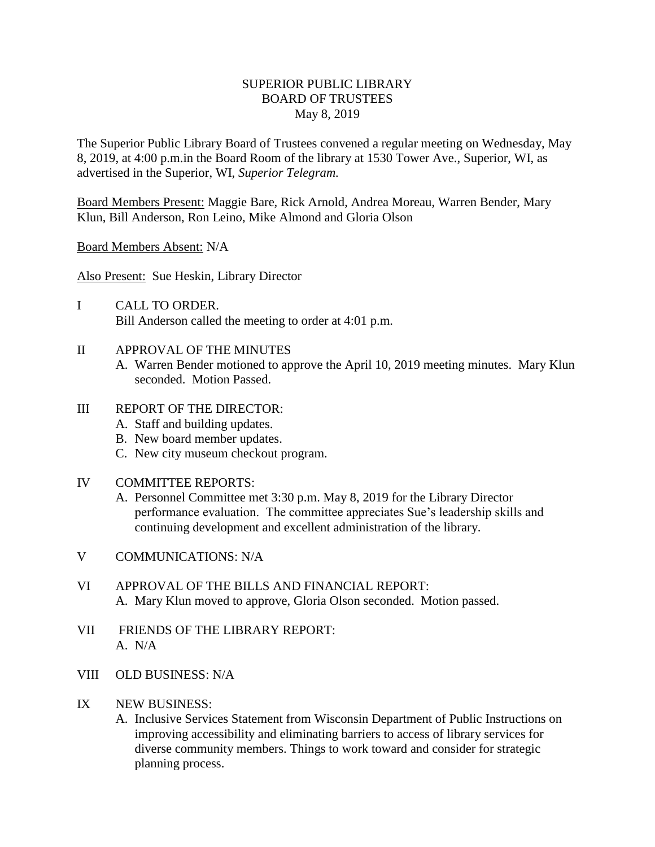## SUPERIOR PUBLIC LIBRARY BOARD OF TRUSTEES May 8, 2019

The Superior Public Library Board of Trustees convened a regular meeting on Wednesday, May 8, 2019, at 4:00 p.m.in the Board Room of the library at 1530 Tower Ave., Superior, WI, as advertised in the Superior, WI, *Superior Telegram.*

Board Members Present: Maggie Bare, Rick Arnold, Andrea Moreau, Warren Bender, Mary Klun, Bill Anderson, Ron Leino, Mike Almond and Gloria Olson

Board Members Absent: N/A

Also Present: Sue Heskin, Library Director

- I CALL TO ORDER. Bill Anderson called the meeting to order at 4:01 p.m.
- II APPROVAL OF THE MINUTES
	- A. Warren Bender motioned to approve the April 10, 2019 meeting minutes. Mary Klun seconded. Motion Passed.

## III REPORT OF THE DIRECTOR:

- A. Staff and building updates.
- B. New board member updates.
- C. New city museum checkout program.

## IV COMMITTEE REPORTS:

- A. Personnel Committee met 3:30 p.m. May 8, 2019 for the Library Director performance evaluation. The committee appreciates Sue's leadership skills and continuing development and excellent administration of the library.
- V COMMUNICATIONS: N/A
- VI APPROVAL OF THE BILLS AND FINANCIAL REPORT: A. Mary Klun moved to approve, Gloria Olson seconded. Motion passed.
- VII FRIENDS OF THE LIBRARY REPORT: A. N/A
- VIII OLD BUSINESS: N/A
- IX NEW BUSINESS:
	- A. Inclusive Services Statement from Wisconsin Department of Public Instructions on improving accessibility and eliminating barriers to access of library services for diverse community members. Things to work toward and consider for strategic planning process.